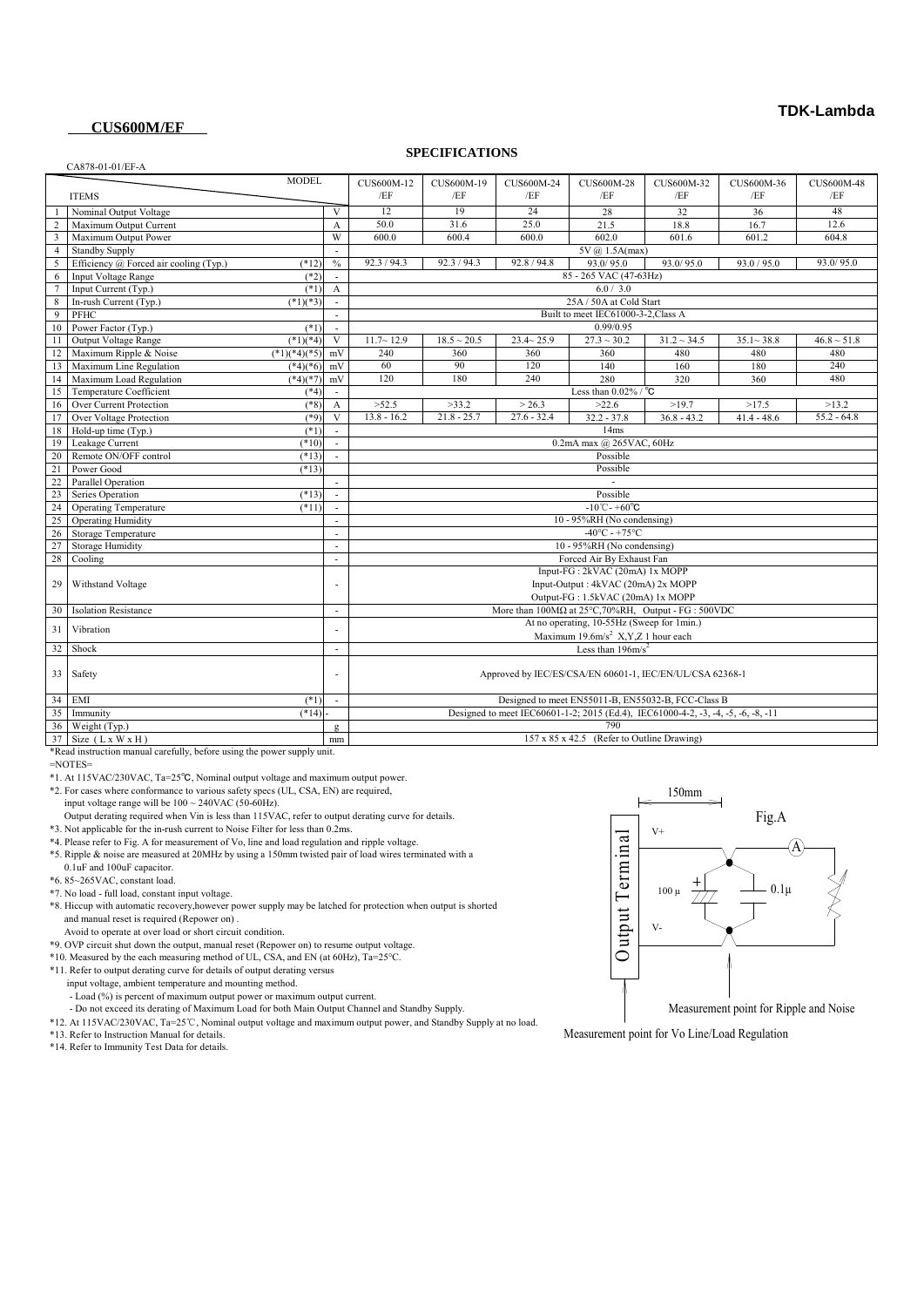## **TDK-Lambda**

## **CUS600M/EF**

#### CA878-01-01/EF-A

### **SPECIFICATIONS**

|                                                                         |                                                                | <b>MODEL</b>                                                  |                             |                                                                                   |                  |                  |                  |                  |                          |                  |
|-------------------------------------------------------------------------|----------------------------------------------------------------|---------------------------------------------------------------|-----------------------------|-----------------------------------------------------------------------------------|------------------|------------------|------------------|------------------|--------------------------|------------------|
|                                                                         |                                                                |                                                               |                             | CUS600M-12                                                                        | CUS600M-19       | CUS600M-24       | CUS600M-28       | CUS600M-32       | CUS600M-36               | CUS600M-48       |
|                                                                         | <b>ITEMS</b>                                                   |                                                               |                             | /EF                                                                               | /EF              | /EF              | /EF              | /EF              | /EF                      | /EF              |
|                                                                         | Nominal Output Voltage                                         |                                                               | V                           | 12                                                                                | 19               | 24               | 28               | 32               | 36                       | 48               |
|                                                                         | Maximum Output Current                                         |                                                               | A                           | 50.0                                                                              | 31.6             | 25.0             | 21.5             | 18.8             | 16.7                     | 12.6             |
| $\overline{3}$                                                          | Maximum Output Power                                           |                                                               | W                           | 600.0                                                                             | 600.4            | 600.0            | 602.0            | 601.6            | 601.2                    | 604.8            |
| $\overline{4}$                                                          | <b>Standby Supply</b>                                          |                                                               |                             | 5V @ 1.5A(max)                                                                    |                  |                  |                  |                  |                          |                  |
| 5                                                                       | Efficiency @ Forced air cooling (Typ.)                         | $(*12)$                                                       | $\frac{0}{0}$               | 92.3 / 94.3                                                                       | 92.3 / 94.3      | 92.8 / 94.8      | 93.0/95.0        | 93.0/95.0        | 93.0 / 95.0              | 93.0/95.0        |
| 6                                                                       | Input Voltage Range                                            | $(*2)$                                                        | $\mathcal{L}_{\mathcal{A}}$ | 85 - 265 VAC (47-63Hz)                                                            |                  |                  |                  |                  |                          |                  |
| $\tau$                                                                  | Input Current (Typ.)                                           | $(*1)$                                                        | $\mathbf{A}$                | 6.0 / 3.0                                                                         |                  |                  |                  |                  |                          |                  |
| 8                                                                       | In-rush Current (Typ.)                                         | $(*1)(*3)$                                                    |                             | 25A / 50A at Cold Start                                                           |                  |                  |                  |                  |                          |                  |
| 9                                                                       | PFHC                                                           |                                                               |                             | Built to meet IEC61000-3-2, Class A                                               |                  |                  |                  |                  |                          |                  |
| 10                                                                      | Power Factor (Typ.)                                            | $(*1)$                                                        | $\sim$                      | 0.99/0.95                                                                         |                  |                  |                  |                  |                          |                  |
| 11                                                                      | Output Voltage Range                                           | $(*1)(*4)$                                                    | $\overline{V}$              | $11.7 - 12.9$                                                                     | $18.5 \sim 20.5$ | $23.4 \sim 25.9$ | $27.3 \sim 30.2$ | $31.2 \sim 34.5$ | $35.1 - 38.8$            | $46.8 \sim 51.8$ |
| 12                                                                      | Maximum Ripple & Noise                                         | $(*1)(*4)(*5)$                                                | mV                          | 240                                                                               | 360              | 360              | 360              | 480              | 480                      | 480              |
|                                                                         | 13 Maximum Line Regulation                                     | $(*4)(*6)$                                                    | mV                          | 60                                                                                | 90               | 120              | 140              | 160              | 180                      | 240              |
|                                                                         | 14 Maximum Load Regulation                                     | $(*4)(*7)$                                                    | mV                          | 120                                                                               | 180              | 240              | 280              | 320              | 360                      | 480              |
|                                                                         | 15 Temperature Coefficient                                     | $(*4)$                                                        |                             | Less than $0.02\%$ / $^{\circ}$ C                                                 |                  |                  |                  |                  |                          |                  |
| 16                                                                      | Over Current Protection                                        | $(*8)$                                                        | $\mathbf{A}$                | >52.5                                                                             | >33.2            | > 26.3           | >22.6            | >19.7            | >17.5                    | >13.2            |
| 17                                                                      | Over Voltage Protection                                        | $(*9)$                                                        | V                           | $13.8 - 16.2$                                                                     | $21.8 - 25.7$    | $27.6 - 32.4$    | $32.2 - 37.8$    | $36.8 - 43.2$    | $\overline{41.4}$ - 48.6 | $55.2 - 64.8$    |
| 18                                                                      | Hold-up time (Typ.)                                            | $(*1)$                                                        |                             | 14ms                                                                              |                  |                  |                  |                  |                          |                  |
|                                                                         | 19 Leakage Current                                             | $(*10)$                                                       |                             | 0.2mA max @ 265VAC, 60Hz                                                          |                  |                  |                  |                  |                          |                  |
| 20                                                                      | Remote ON/OFF control                                          | $(*13)$                                                       |                             | Possible                                                                          |                  |                  |                  |                  |                          |                  |
| 21                                                                      | Power Good                                                     | $(*13)$                                                       |                             | Possible                                                                          |                  |                  |                  |                  |                          |                  |
| 22                                                                      | <b>Parallel Operation</b>                                      |                                                               | ÷                           |                                                                                   |                  |                  |                  |                  |                          |                  |
| 23                                                                      | Series Operation                                               | $(*13)$                                                       | $\sim$                      | Possible                                                                          |                  |                  |                  |                  |                          |                  |
| 24                                                                      | <b>Operating Temperature</b>                                   | $(*11)$                                                       | $\sim$                      | $-10^{\circ}$ C - +60 $^{\circ}$ C                                                |                  |                  |                  |                  |                          |                  |
| 25                                                                      | <b>Operating Humidity</b>                                      |                                                               | $\sim$                      | 10 - 95%RH (No condensing)                                                        |                  |                  |                  |                  |                          |                  |
| 26                                                                      | Storage Temperature                                            |                                                               |                             | $-40^{\circ}$ C - +75°C                                                           |                  |                  |                  |                  |                          |                  |
| 27                                                                      | <b>Storage Humidity</b>                                        |                                                               |                             | 10 - 95%RH (No condensing)                                                        |                  |                  |                  |                  |                          |                  |
| 28                                                                      | Cooling                                                        |                                                               | ٠                           | Forced Air By Exhaust Fan                                                         |                  |                  |                  |                  |                          |                  |
|                                                                         |                                                                | Input-FG: 2kVAC (20mA) 1x MOPP                                |                             |                                                                                   |                  |                  |                  |                  |                          |                  |
| 29                                                                      | Input-Output: 4kVAC (20mA) 2x MOPP<br><b>Withstand Voltage</b> |                                                               |                             |                                                                                   |                  |                  |                  |                  |                          |                  |
|                                                                         |                                                                | Output-FG: 1.5kVAC (20mA) 1x MOPP                             |                             |                                                                                   |                  |                  |                  |                  |                          |                  |
| 30                                                                      | <b>Isolation Resistance</b>                                    |                                                               | $\overline{\phantom{a}}$    | More than $100M\Omega$ at $25^{\circ}$ C, 70%RH, Output - FG : 500VDC             |                  |                  |                  |                  |                          |                  |
|                                                                         |                                                                |                                                               |                             | At no operating, 10-55Hz (Sweep for 1min.)                                        |                  |                  |                  |                  |                          |                  |
| 31                                                                      | Vibration                                                      |                                                               |                             | Maximum $19.6 \text{m/s}^2$ X, Y, Z 1 hour each                                   |                  |                  |                  |                  |                          |                  |
|                                                                         | 32 Shock                                                       |                                                               | ÷.                          | Less than $196m/s^2$                                                              |                  |                  |                  |                  |                          |                  |
|                                                                         |                                                                |                                                               |                             |                                                                                   |                  |                  |                  |                  |                          |                  |
|                                                                         | 33 Safety                                                      | Approved by IEC/ES/CSA/EN 60601-1, IEC/EN/UL/CSA 62368-1<br>٠ |                             |                                                                                   |                  |                  |                  |                  |                          |                  |
|                                                                         |                                                                |                                                               |                             |                                                                                   |                  |                  |                  |                  |                          |                  |
|                                                                         | 34 EMI                                                         | $(*1)$                                                        | $\sim$                      | Designed to meet EN55011-B, EN55032-B, FCC-Class B                                |                  |                  |                  |                  |                          |                  |
|                                                                         | 35 Immunity                                                    | $(*14)$                                                       |                             | Designed to meet IEC60601-1-2; 2015 (Ed.4), IEC61000-4-2, -3, -4, -5, -6, -8, -11 |                  |                  |                  |                  |                          |                  |
|                                                                         | 36 Weight (Typ.)                                               |                                                               | $\mathbf{Q}$                |                                                                                   |                  |                  | 790              |                  |                          |                  |
|                                                                         | $37$ Size (L x W x H)                                          |                                                               | mm                          | 157 x 85 x 42.5 (Refer to Outline Drawing)                                        |                  |                  |                  |                  |                          |                  |
| *Read instruction manual carefully, before using the power supply unit. |                                                                |                                                               |                             |                                                                                   |                  |                  |                  |                  |                          |                  |

 $=$ NOTES=

\*1. At 115VAC/230VAC, Ta=25℃, Nominal output voltage and maximum output power.

\*2. For cases where conformance to various safety specs (UL, CSA, EN) are required,

input voltage range will be  $100 \sim 240 \text{VAC}$  (50-60Hz).

Output derating required when Vin is less than 115VAC, refer to output derating curve for details.

\*3. Not applicable for the in-rush current to Noise Filter for less than 0.2ms.

\*4. Please refer to Fig. A for measurement of Vo, line and load regulation and ripple voltage.

 \*5. Ripple & noise are measured at 20MHz by using a 150mm twisted pair of load wires terminated with a 0.1uF and 100uF capacitor.

\*6. 85~265VAC, constant load.

\*7. No load - full load, constant input voltage.

 \*8. Hiccup with automatic recovery,however power supply may be latched for protection when output is shorted and manual reset is required (Repower on) .

Avoid to operate at over load or short circuit condition.

\*9. OVP circuit shut down the output, manual reset (Repower on) to resume output voltage.

\*10. Measured by the each measuring method of UL, CSA, and EN (at 60Hz), Ta=25°C.

\*11. Refer to output derating curve for details of output derating versus

input voltage, ambient temperature and mounting method.

- Load (%) is percent of maximum output power or maximum output current.

- Do not exceed its derating of Maximum Load for both Main Output Channel and Standby Supply.

\*12. At 115VAC/230VAC, Ta=25℃, Nominal output voltage and maximum output power, and Standby Supply at no load.

\*13. Refer to Instruction Manual for details.

\*14. Refer to Immunity Test Data for details.



Measurement point for Vo Line/Load Regulation